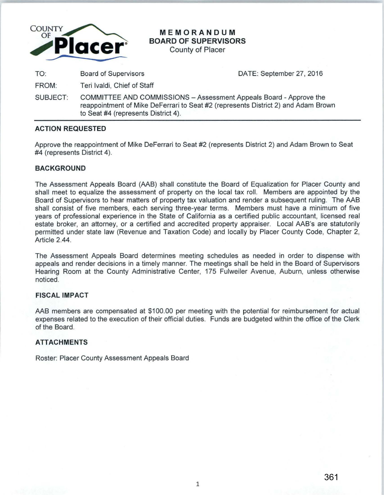

**MEMORANDUM BOARD OF SUPERVISORS** 

County of Placer

TO: Board of Supervisors TO: Board of Supervisors CONTE: September 27, 2016

FROM: Teri lvaldi, Chief of Staff

SUBJECT: COMMITTEE AND COMMISSIONS -Assessment Appeals Board -Approve the reappointment of Mike DeFerrari to Seat #2 (represents District 2) and Adam Brown to Seat #4 (represents District 4).

### **ACTION REQUESTED**

Approve the reappointment of Mike DeFerrari to Seat #2 (represents District 2) and Adam Brown to Seat #4 (represents District 4).

# **BACKGROUND**

The Assessment Appeals Board (AAB) shall constitute the Board of Equalization for Placer County and shall meet to equalize the assessment of property on the local tax roll. Members are appointed by the Board of Supervisors to hear matters of property tax valuation and render a subsequent ruling. The AAB shall consist of five members, each serving three-year terms. Members must have a minimum of five years of professional experience in the State of California as a certified public accountant, licensed real estate broker, an attorney, or a certified and accredited property appraiser. Local AAB's are statutorily permitted under state law (Revenue and Taxation Code) and locally by Placer County Code, Chapter 2, Article 2.44.

The Assessment Appeals Board determines meeting schedules as needed in order to dispense with appeals and render decisions in a timely manner. The meetings shall be held in the Board of Supervisors Hearing Room at the County Administrative Center, 175 Fulweiler Avenue, Auburn, unless otherwise noticed.

# **FISCAL IMPACT**

AAB members are compensated at \$100.00 per meeting with the potential for reimbursement for actual expenses related to the execution of their official duties. Funds are budgeted within the office of the Clerk of the Board.

### **ATTACHMENTS**

Roster: Placer County Assessment Appeals Board